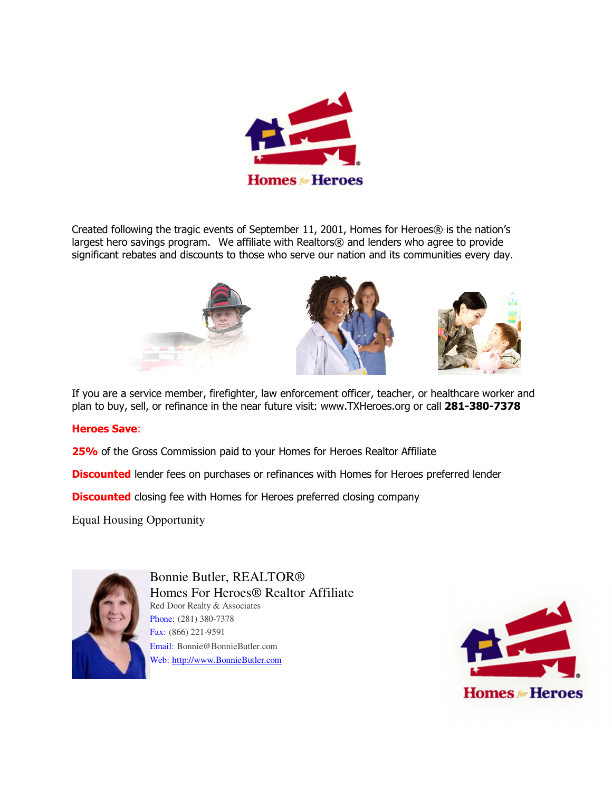

Created following the tragic events of September 11, 2001, Homes for Heroes® is the nation's largest hero savings program. We affiliate with Realtors® and lenders who agree to provide significant rebates and discounts to those who serve our nation and its communities every day.



If you are a service member, firefighter, law enforcement officer, teacher, or healthcare worker and plan to buy, sell, or refinance in the near future visit: www.TXHeroes.org or call **281-380-7378**

## **Heroes Save**:

**25%** of the Gross Commission paid to your Homes for Heroes Realtor Affiliate

**Discounted** lender fees on purchases or refinances with Homes for Heroes preferred lender

**Discounted** closing fee with Homes for Heroes preferred closing company

Equal Housing Opportunity



Bonnie Butler, REALTOR® Homes For Heroes® Realtor Affiliate Red Door Realty & Associates Phone: (281) 380-7378 Fax: (866) 221-9591 Email: Bonnie@BonnieButler.com Web: http://www.BonnieButler.com

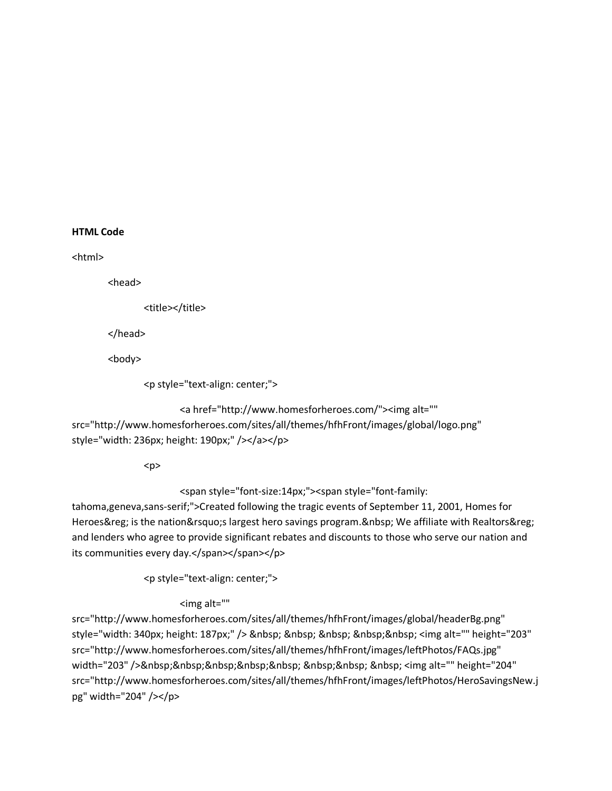## **HTML Code**

<html>

<head>

<title></title>

</head>

<body>

```
 <p style="text-align: center;">
```
<a href="http://www.homesforheroes.com/"><img alt=""

src="http://www.homesforheroes.com/sites/all/themes/hfhFront/images/global/logo.png" style="width: 236px; height: 190px;" /></a></p>

<p>

<span style="font-size:14px;"><span style="font-family:

tahoma,geneva,sans-serif;">Created following the tragic events of September 11, 2001, Homes for Heroes® is the nation's largest hero savings program. We affiliate with Realtors® and lenders who agree to provide significant rebates and discounts to those who serve our nation and its communities every day.</span></span></p>

<p style="text-align: center;">

## <img alt=""

src="http://www.homesforheroes.com/sites/all/themes/hfhFront/images/global/headerBg.png" style="width: 340px; height: 187px;" /> <img alt="" height="203" src="http://www.homesforheroes.com/sites/all/themes/hfhFront/images/leftPhotos/FAQs.jpg" width="203" /> <img alt="" height="204" src="http://www.homesforheroes.com/sites/all/themes/hfhFront/images/leftPhotos/HeroSavingsNew.j pg" width="204" /></p>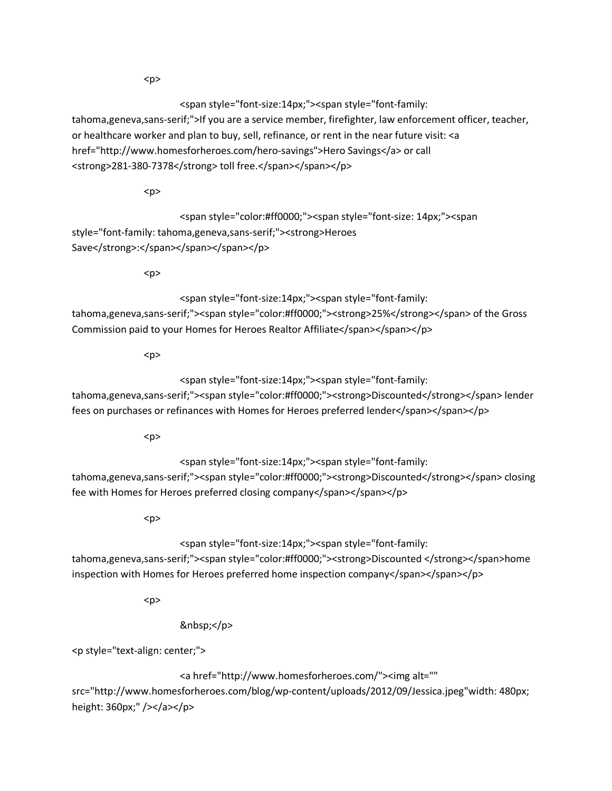$< p >$ 

<span style="font-size:14px;"><span style="font-family:

tahoma,geneva,sans-serif;">If you are a service member, firefighter, law enforcement officer, teacher, or healthcare worker and plan to buy, sell, refinance, or rent in the near future visit: <a href="http://www.homesforheroes.com/hero-savings">Hero Savings</a> or call <strong>281-380-7378</strong> toll free.</span></span></p>

<p>

 <span style="color:#ff0000;"><span style="font-size: 14px;"><span style="font-family: tahoma,geneva,sans-serif;"><strong>Heroes Save</strong>:</span></span></span></p>

 $< p >$ 

<span style="font-size:14px;"><span style="font-family:

tahoma,geneva,sans-serif;"><span style="color:#ff0000;"><strong>25%</strong></span> of the Gross Commission paid to your Homes for Heroes Realtor Affiliate</span></p></p>

 $< p >$ 

<span style="font-size:14px;"><span style="font-family:

tahoma,geneva,sans-serif;"><span style="color:#ff0000;"><strong>Discounted</strong></span> lender fees on purchases or refinances with Homes for Heroes preferred lender</span></span></p>

 $< p >$ 

<span style="font-size:14px;"><span style="font-family:

tahoma,geneva,sans-serif;"><span style="color:#ff0000;"><strong>Discounted</strong></span> closing fee with Homes for Heroes preferred closing company</span></span></p>

 $<sub>p</sub>$ </sub>

<span style="font-size:14px;"><span style="font-family:

tahoma,geneva,sans-serif;"><span style="color:#ff0000;"><strong>Discounted </strong></span>home inspection with Homes for Heroes preferred home inspection company</span></span></p>

 $< p >$ 

</p>

<p style="text-align: center;">

 <a href="http://www.homesforheroes.com/"><img alt="" src="http://www.homesforheroes.com/blog/wp-content/uploads/2012/09/Jessica.jpeg"width: 480px; height: 360px;" /></a></p>